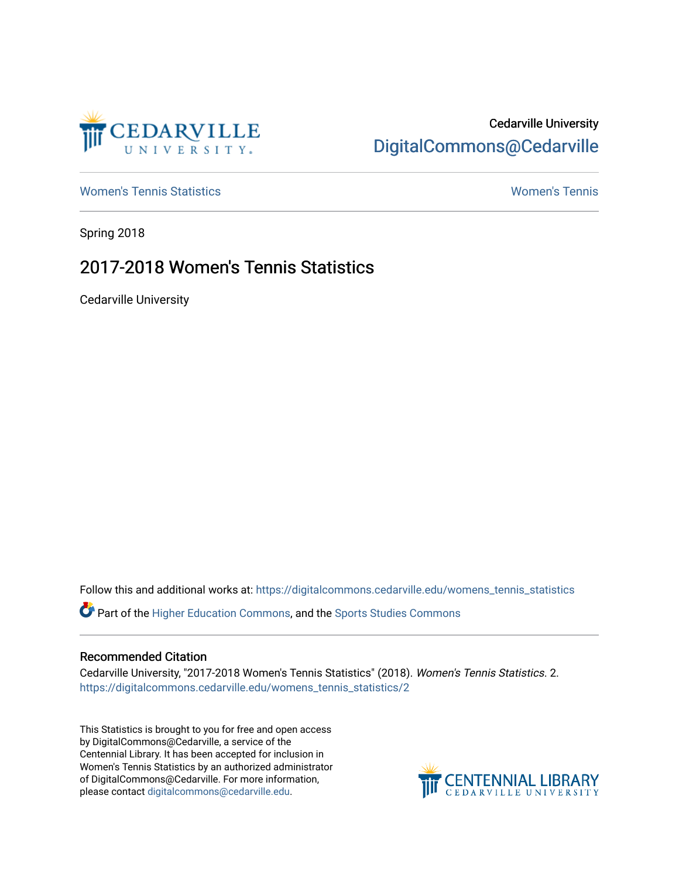

## Cedarville University [DigitalCommons@Cedarville](https://digitalcommons.cedarville.edu/)

[Women's Tennis Statistics](https://digitalcommons.cedarville.edu/womens_tennis_statistics) [Women's Tennis](https://digitalcommons.cedarville.edu/womens_tennis) 

Spring 2018

## 2017-2018 Women's Tennis Statistics

Cedarville University

Follow this and additional works at: [https://digitalcommons.cedarville.edu/womens\\_tennis\\_statistics](https://digitalcommons.cedarville.edu/womens_tennis_statistics?utm_source=digitalcommons.cedarville.edu%2Fwomens_tennis_statistics%2F2&utm_medium=PDF&utm_campaign=PDFCoverPages) 

Part of the [Higher Education Commons,](http://network.bepress.com/hgg/discipline/1245?utm_source=digitalcommons.cedarville.edu%2Fwomens_tennis_statistics%2F2&utm_medium=PDF&utm_campaign=PDFCoverPages) and the [Sports Studies Commons](http://network.bepress.com/hgg/discipline/1198?utm_source=digitalcommons.cedarville.edu%2Fwomens_tennis_statistics%2F2&utm_medium=PDF&utm_campaign=PDFCoverPages) 

## Recommended Citation

Cedarville University, "2017-2018 Women's Tennis Statistics" (2018). Women's Tennis Statistics. 2. [https://digitalcommons.cedarville.edu/womens\\_tennis\\_statistics/2](https://digitalcommons.cedarville.edu/womens_tennis_statistics/2?utm_source=digitalcommons.cedarville.edu%2Fwomens_tennis_statistics%2F2&utm_medium=PDF&utm_campaign=PDFCoverPages)

This Statistics is brought to you for free and open access by DigitalCommons@Cedarville, a service of the Centennial Library. It has been accepted for inclusion in Women's Tennis Statistics by an authorized administrator of DigitalCommons@Cedarville. For more information, please contact [digitalcommons@cedarville.edu](mailto:digitalcommons@cedarville.edu).

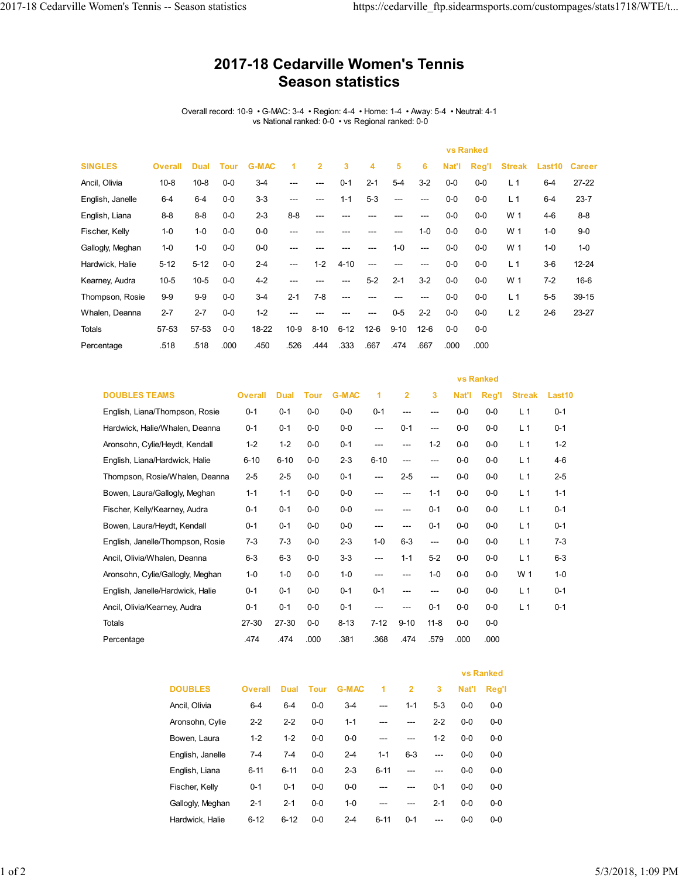## **2017-18 Cedarville Women's Tennis Season statistics**

Overall record: 10-9 • G-MAC: 3-4 • Region: 4-4 • Home: 1-4 • Away: 5-4 • Neutral: 4-1 vs National ranked: 0-0 • vs Regional ranked: 0-0

|                  |                |             |       |              |         |                |          |         |          |          |       | <b>vs Ranked</b> |                |                    |               |
|------------------|----------------|-------------|-------|--------------|---------|----------------|----------|---------|----------|----------|-------|------------------|----------------|--------------------|---------------|
| <b>SINGLES</b>   | <b>Overall</b> | <b>Dual</b> | Tour  | <b>G-MAC</b> | 1       | $\overline{2}$ | 3        | 4       | 5        | 6        | Nat'l | Reg'l            | <b>Streak</b>  | Last <sub>10</sub> | <b>Career</b> |
| Ancil, Olivia    | $10 - 8$       | $10 - 8$    | $0-0$ | $3-4$        | ---     | ---            | $0 - 1$  | $2 - 1$ | $5-4$    | $3-2$    | $0-0$ | $0-0$            | L <sub>1</sub> | $6 - 4$            | $27 - 22$     |
| English, Janelle | $6 - 4$        | $6-4$       | $0-0$ | $3-3$        | ---     | ---            | $1 - 1$  | $5-3$   | ---      | $---$    | $0-0$ | $0-0$            | L <sub>1</sub> | $6 - 4$            | $23 - 7$      |
| English, Liana   | $8 - 8$        | $8 - 8$     | $0-0$ | $2 - 3$      | $8 - 8$ | ---            | ---      |         |          | ---      | $0-0$ | $0-0$            | W 1            | $4-6$              | $8 - 8$       |
| Fischer, Kelly   | $1 - 0$        | $1 - 0$     | $0-0$ | $0-0$        | ---     | ---            | ---      |         | ---      | $1 - 0$  | $0-0$ | $0-0$            | W 1            | $1 - 0$            | $9-0$         |
| Gallogly, Meghan | $1 - 0$        | $1 - 0$     | $0-0$ | $0-0$        | ---     | ---            | ---      |         | $1 - 0$  | $---$    | $0-0$ | $0-0$            | W 1            | $1 - 0$            | $1 - 0$       |
| Hardwick, Halie  | $5 - 12$       | $5 - 12$    | $0-0$ | $2 - 4$      | ---     | $1 - 2$        | $4 - 10$ | ---     | ---      | ---      | $0-0$ | $0-0$            | L <sub>1</sub> | $3-6$              | $12 - 24$     |
| Kearney, Audra   | $10 - 5$       | $10-5$      | $0-0$ | $4 - 2$      | ---     | ---            | ---      | $5-2$   | $2 - 1$  | $3-2$    | $0-0$ | $0-0$            | W 1            | $7 - 2$            | $16 - 6$      |
| Thompson, Rosie  | $9-9$          | $9-9$       | $0-0$ | $3-4$        | $2 - 1$ | $7 - 8$        | ---      |         |          | ---      | $0-0$ | $0-0$            | L <sub>1</sub> | $5 - 5$            | 39-15         |
| Whalen, Deanna   | $2 - 7$        | $2 - 7$     | $0-0$ | $1 - 2$      | ---     | ---            | ---      | ---     | $0-5$    | $2 - 2$  | $0-0$ | $0-0$            | L <sub>2</sub> | $2 - 6$            | 23-27         |
| Totals           | 57-53          | 57-53       | $0-0$ | 18-22        | $10-9$  | $8 - 10$       | $6 - 12$ | $12-6$  | $9 - 10$ | $12 - 6$ | $0-0$ | $0-0$            |                |                    |               |
| Percentage       | .518           | .518        | .000  | .450         | .526    | .444           | .333     | .667    | .474     | .667     | .000  | .000             |                |                    |               |

|                                  |                |             |             |              |          |          | <b>vs Ranked</b> |         |         |                |         |
|----------------------------------|----------------|-------------|-------------|--------------|----------|----------|------------------|---------|---------|----------------|---------|
| <b>DOUBLES TEAMS</b>             | <b>Overall</b> | <b>Dual</b> | <b>Tour</b> | <b>G-MAC</b> | 1        | 2        | 3                | Nat'l   | Reg'l   | <b>Streak</b>  | Last10  |
| English, Liana/Thompson, Rosie   | $0 - 1$        | $0 - 1$     | $0 - 0$     | $0-0$        | $0 - 1$  | $---$    | ---              | $0 - 0$ | $0 - 0$ | L <sub>1</sub> | $0 - 1$ |
| Hardwick, Halie/Whalen, Deanna   | $0 - 1$        | $0 - 1$     | $0-0$       | $0-0$        | ---      | $0 - 1$  | ---              | $0-0$   | $0-0$   | L <sub>1</sub> | $0 - 1$ |
| Aronsohn, Cylie/Heydt, Kendall   | $1 - 2$        | $1 - 2$     | $0 - 0$     | $0 - 1$      | ---      | ---      | $1 - 2$          | $0 - 0$ | $0-0$   | L <sub>1</sub> | $1 - 2$ |
| English, Liana/Hardwick, Halie   | $6 - 10$       | $6 - 10$    | $0-0$       | $2 - 3$      | $6 - 10$ | ---      | ---              | $0-0$   | $0-0$   | L <sub>1</sub> | $4-6$   |
| Thompson, Rosie/Whalen, Deanna   | $2 - 5$        | $2 - 5$     | $0-0$       | $0 - 1$      | ---      | $2 - 5$  | ---              | $0-0$   | $0-0$   | L <sub>1</sub> | $2 - 5$ |
| Bowen, Laura/Gallogly, Meghan    | $1 - 1$        | $1 - 1$     | $0 - 0$     | $0-0$        | ---      | ---      | $1 - 1$          | $0-0$   | $0-0$   | L <sub>1</sub> | $1 - 1$ |
| Fischer, Kelly/Kearney, Audra    | $0 - 1$        | $0 - 1$     | $0-0$       | $0-0$        | ---      | ---      | $0 - 1$          | $0-0$   | $0-0$   | L <sub>1</sub> | $0 - 1$ |
| Bowen, Laura/Heydt, Kendall      | $0 - 1$        | $0 - 1$     | $0 - 0$     | $0-0$        | ---      | $---$    | $0 - 1$          | $0 - 0$ | $0-0$   | L <sub>1</sub> | $0 - 1$ |
| English, Janelle/Thompson, Rosie | $7 - 3$        | $7-3$       | $0-0$       | $2 - 3$      | $1 - 0$  | $6-3$    | ---              | $0-0$   | $0-0$   | L <sub>1</sub> | $7-3$   |
| Ancil, Olivia/Whalen, Deanna     | $6 - 3$        | $6-3$       | $0 - 0$     | $3 - 3$      | ---      | $1 - 1$  | $5-2$            | $0 - 0$ | $0-0$   | L <sub>1</sub> | $6-3$   |
| Aronsohn, Cylie/Gallogly, Meghan | $1 - 0$        | $1 - 0$     | $0-0$       | $1 - 0$      | ---      | ---      | $1 - 0$          | $0-0$   | $0-0$   | W 1            | $1 - 0$ |
| English, Janelle/Hardwick, Halie | $0 - 1$        | $0 - 1$     | $0-0$       | $0 - 1$      | $0 - 1$  | ---      | ---              | $0 - 0$ | $0-0$   | L <sub>1</sub> | $0 - 1$ |
| Ancil, Olivia/Kearney, Audra     | $0 - 1$        | $0 - 1$     | $0 - 0$     | $0 - 1$      | ---      | ---      | $0 - 1$          | $0 - 0$ | $0-0$   | L <sub>1</sub> | $0 - 1$ |
| <b>Totals</b>                    | 27-30          | 27-30       | $0-0$       | $8 - 13$     | $7 - 12$ | $9 - 10$ | $11 - 8$         | $0-0$   | $0-0$   |                |         |
| Percentage                       | .474           | .474        | .000        | .381         | .368     | .474     | .579             | .000    | .000    |                |         |

|                  |                |          |         |              |          |                |         | <b>vs Ranked</b> |         |
|------------------|----------------|----------|---------|--------------|----------|----------------|---------|------------------|---------|
| <b>DOUBLES</b>   | <b>Overall</b> | Dual     | Tour    | <b>G-MAC</b> | 1        | $\overline{2}$ | 3       | Nat'l            | Reg'l   |
| Ancil. Olivia    | $6 - 4$        | $6 - 4$  | $0 - 0$ | $3-4$        | ---      | $1 - 1$        | $5 - 3$ | $0 - 0$          | $0 - 0$ |
| Aronsohn, Cylie  | $2 - 2$        | $2 - 2$  | $0-0$   | $1 - 1$      |          |                | $2 - 2$ | $0-0$            | $0 - 0$ |
| Bowen, Laura     | $1 - 2$        | $1 - 2$  | $0-0$   | $0 - 0$      | ---      |                | $1 - 2$ | $0 - 0$          | $0 - 0$ |
| English, Janelle | $7-4$          | $7-4$    | $0 - 0$ | $2 - 4$      | $1 - 1$  | $6 - 3$        | ---     | $0 - 0$          | $0 - 0$ |
| English, Liana   | $6 - 11$       | $6 - 11$ | $0-0$   | $2 - 3$      | $6 - 11$ | ---            | ---     | $0-0$            | $0 - 0$ |
| Fischer, Kelly   | $0 - 1$        | $0 - 1$  | $0-0$   | $0 - 0$      |          |                | $0 - 1$ | $0 - 0$          | $0 - 0$ |
| Gallogly, Meghan | $2 - 1$        | $2 - 1$  | $0 - 0$ | $1 - 0$      | ---      | ---            | $2 - 1$ | $0 - 0$          | $0 - 0$ |
| Hardwick, Halie  | $6 - 12$       | $6 - 12$ | $0-0$   | $2-4$        | $6 - 11$ | $0 - 1$        | ---     | $0-0$            | $0-0$   |